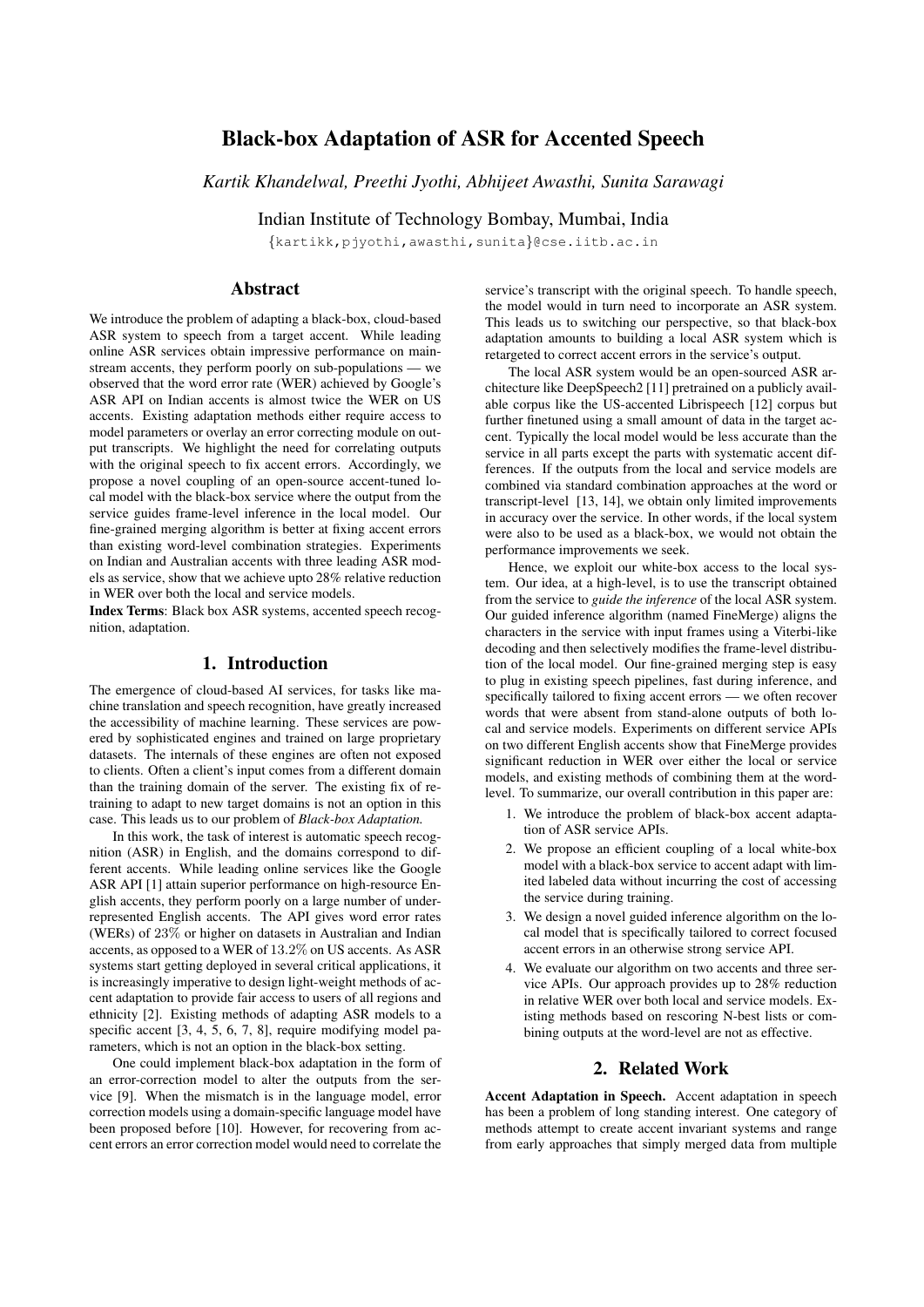# Black-box Adaptation of ASR for Accented Speech

*Kartik Khandelwal, Preethi Jyothi, Abhijeet Awasthi, Sunita Sarawagi*

Indian Institute of Technology Bombay, Mumbai, India

{kartikk,pjyothi,awasthi,sunita}@cse.iitb.ac.in

# **Abstract**

We introduce the problem of adapting a black-box, cloud-based ASR system to speech from a target accent. While leading online ASR services obtain impressive performance on mainstream accents, they perform poorly on sub-populations — we observed that the word error rate (WER) achieved by Google's ASR API on Indian accents is almost twice the WER on US accents. Existing adaptation methods either require access to model parameters or overlay an error correcting module on output transcripts. We highlight the need for correlating outputs with the original speech to fix accent errors. Accordingly, we propose a novel coupling of an open-source accent-tuned local model with the black-box service where the output from the service guides frame-level inference in the local model. Our fine-grained merging algorithm is better at fixing accent errors than existing word-level combination strategies. Experiments on Indian and Australian accents with three leading ASR models as service, show that we achieve upto 28% relative reduction in WER over both the local and service models.

Index Terms: Black box ASR systems, accented speech recognition, adaptation.

### 1. Introduction

The emergence of cloud-based AI services, for tasks like machine translation and speech recognition, have greatly increased the accessibility of machine learning. These services are powered by sophisticated engines and trained on large proprietary datasets. The internals of these engines are often not exposed to clients. Often a client's input comes from a different domain than the training domain of the server. The existing fix of retraining to adapt to new target domains is not an option in this case. This leads us to our problem of *Black-box Adaptation.*

In this work, the task of interest is automatic speech recognition (ASR) in English, and the domains correspond to different accents. While leading online services like the Google ASR API [1] attain superior performance on high-resource English accents, they perform poorly on a large number of underrepresented English accents. The API gives word error rates (WERs) of 23% or higher on datasets in Australian and Indian accents, as opposed to a WER of 13.2% on US accents. As ASR systems start getting deployed in several critical applications, it is increasingly imperative to design light-weight methods of accent adaptation to provide fair access to users of all regions and ethnicity [2]. Existing methods of adapting ASR models to a specific accent [3, 4, 5, 6, 7, 8], require modifying model parameters, which is not an option in the black-box setting.

One could implement black-box adaptation in the form of an error-correction model to alter the outputs from the service [9]. When the mismatch is in the language model, error correction models using a domain-specific language model have been proposed before [10]. However, for recovering from accent errors an error correction model would need to correlate the service's transcript with the original speech. To handle speech, the model would in turn need to incorporate an ASR system. This leads us to switching our perspective, so that black-box adaptation amounts to building a local ASR system which is retargeted to correct accent errors in the service's output.

The local ASR system would be an open-sourced ASR architecture like DeepSpeech2 [11] pretrained on a publicly available corpus like the US-accented Librispeech [12] corpus but further finetuned using a small amount of data in the target accent. Typically the local model would be less accurate than the service in all parts except the parts with systematic accent differences. If the outputs from the local and service models are combined via standard combination approaches at the word or transcript-level [13, 14], we obtain only limited improvements in accuracy over the service. In other words, if the local system were also to be used as a black-box, we would not obtain the performance improvements we seek.

Hence, we exploit our white-box access to the local system. Our idea, at a high-level, is to use the transcript obtained from the service to *guide the inference* of the local ASR system. Our guided inference algorithm (named FineMerge) aligns the characters in the service with input frames using a Viterbi-like decoding and then selectively modifies the frame-level distribution of the local model. Our fine-grained merging step is easy to plug in existing speech pipelines, fast during inference, and specifically tailored to fixing accent errors — we often recover words that were absent from stand-alone outputs of both local and service models. Experiments on different service APIs on two different English accents show that FineMerge provides significant reduction in WER over either the local or service models, and existing methods of combining them at the wordlevel. To summarize, our overall contribution in this paper are:

- 1. We introduce the problem of black-box accent adaptation of ASR service APIs.
- 2. We propose an efficient coupling of a local white-box model with a black-box service to accent adapt with limited labeled data without incurring the cost of accessing the service during training.
- 3. We design a novel guided inference algorithm on the local model that is specifically tailored to correct focused accent errors in an otherwise strong service API.
- 4. We evaluate our algorithm on two accents and three service APIs. Our approach provides up to 28% reduction in relative WER over both local and service models. Existing methods based on rescoring N-best lists or combining outputs at the word-level are not as effective.

#### 2. Related Work

Accent Adaptation in Speech. Accent adaptation in speech has been a problem of long standing interest. One category of methods attempt to create accent invariant systems and range from early approaches that simply merged data from multiple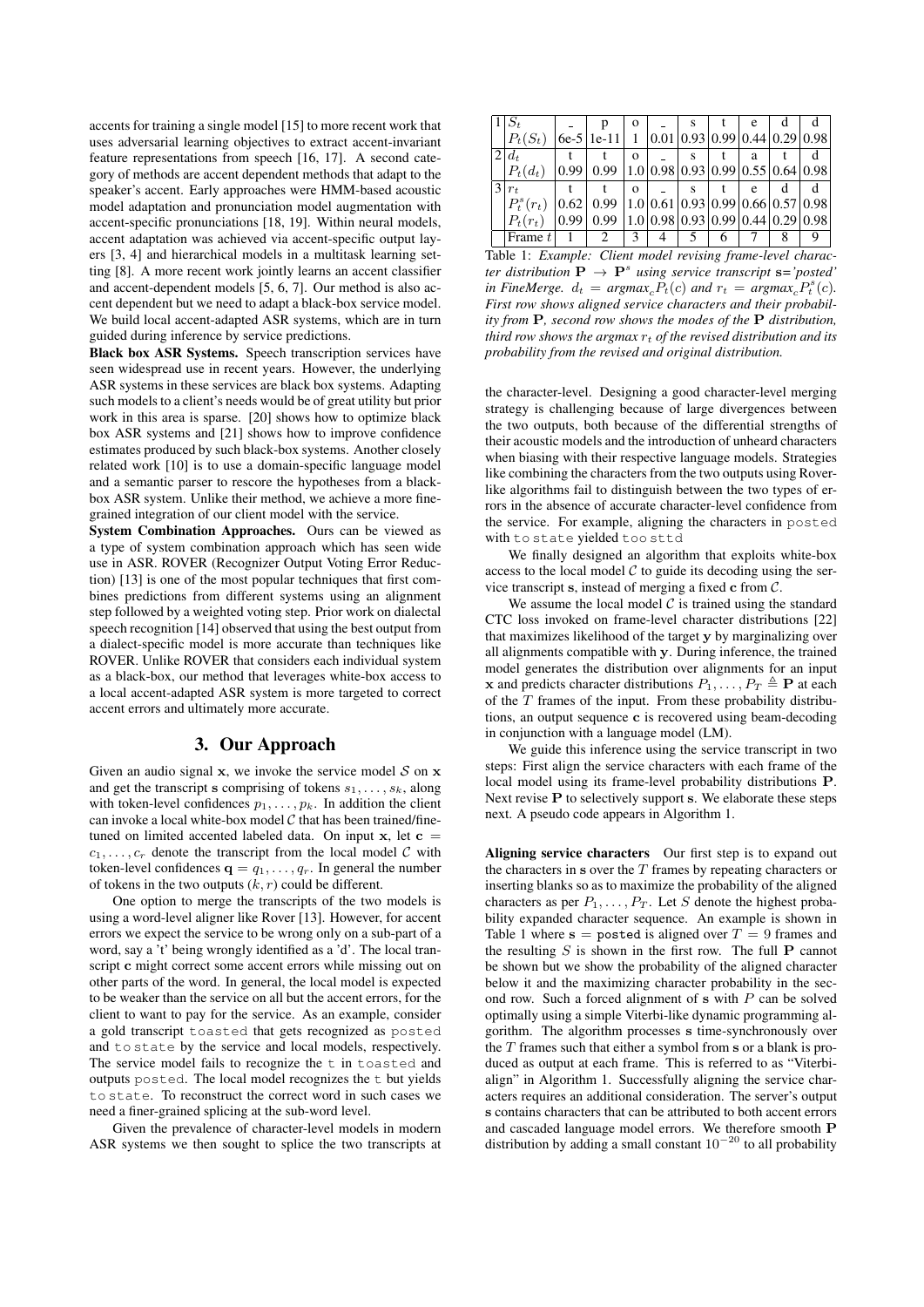accents for training a single model [15] to more recent work that uses adversarial learning objectives to extract accent-invariant feature representations from speech [16, 17]. A second category of methods are accent dependent methods that adapt to the speaker's accent. Early approaches were HMM-based acoustic model adaptation and pronunciation model augmentation with accent-specific pronunciations [18, 19]. Within neural models, accent adaptation was achieved via accent-specific output layers [3, 4] and hierarchical models in a multitask learning setting [8]. A more recent work jointly learns an accent classifier and accent-dependent models [5, 6, 7]. Our method is also accent dependent but we need to adapt a black-box service model. We build local accent-adapted ASR systems, which are in turn guided during inference by service predictions.

Black box ASR Systems. Speech transcription services have seen widespread use in recent years. However, the underlying ASR systems in these services are black box systems. Adapting such models to a client's needs would be of great utility but prior work in this area is sparse. [20] shows how to optimize black box ASR systems and [21] shows how to improve confidence estimates produced by such black-box systems. Another closely related work [10] is to use a domain-specific language model and a semantic parser to rescore the hypotheses from a blackbox ASR system. Unlike their method, we achieve a more finegrained integration of our client model with the service.

System Combination Approaches. Ours can be viewed as a type of system combination approach which has seen wide use in ASR. ROVER (Recognizer Output Voting Error Reduction) [13] is one of the most popular techniques that first combines predictions from different systems using an alignment step followed by a weighted voting step. Prior work on dialectal speech recognition [14] observed that using the best output from a dialect-specific model is more accurate than techniques like ROVER. Unlike ROVER that considers each individual system as a black-box, our method that leverages white-box access to a local accent-adapted ASR system is more targeted to correct accent errors and ultimately more accurate.

## 3. Our Approach

Given an audio signal  $x$ , we invoke the service model  $S$  on  $x$ and get the transcript s comprising of tokens  $s_1, \ldots, s_k$ , along with token-level confidences  $p_1, \ldots, p_k$ . In addition the client can invoke a local white-box model  $C$  that has been trained/finetuned on limited accented labeled data. On input  $x$ , let  $c =$  $c_1, \ldots, c_r$  denote the transcript from the local model C with token-level confidences  $\mathbf{q} = q_1, \dots, q_r$ . In general the number of tokens in the two outputs  $(k, r)$  could be different.

One option to merge the transcripts of the two models is using a word-level aligner like Rover [13]. However, for accent errors we expect the service to be wrong only on a sub-part of a word, say a 't' being wrongly identified as a 'd'. The local transcript c might correct some accent errors while missing out on other parts of the word. In general, the local model is expected to be weaker than the service on all but the accent errors, for the client to want to pay for the service. As an example, consider a gold transcript toasted that gets recognized as posted and to state by the service and local models, respectively. The service model fails to recognize the  $t$  in toasted and outputs posted. The local model recognizes the t but yields to state. To reconstruct the correct word in such cases we need a finer-grained splicing at the sub-word level.

Given the prevalence of character-level models in modern ASR systems we then sought to splice the two transcripts at

|   | $1 S_t$        |      |                                                        | $\Omega$ |                               |  | e |   |  |
|---|----------------|------|--------------------------------------------------------|----------|-------------------------------|--|---|---|--|
|   | $P_t(S_t)$     |      | $6e-5 1e-11 1$                                         |          | 0.01 0.93 0.99 0.44 0.29 0.98 |  |   |   |  |
|   | $ 2 d_t$       |      |                                                        | $\Omega$ |                               |  | a |   |  |
|   | $ P_t(d_t) $   | 0.99 | $0.99$   1.0   0.98   0.93   0.99   0.55   0.64   0.98 |          |                               |  |   |   |  |
| 3 | $ r_t$         |      |                                                        | $\Omega$ |                               |  | e | d |  |
|   | $ P_t^s(r_t) $ | 0.62 | $0.99$   1.0   0.61   0.93   0.99   0.66   0.57   0.98 |          |                               |  |   |   |  |
|   | $P_t(r_t)$     | 0.99 | $0.99$   1.0   0.98   0.93   0.99   0.44   0.29   0.98 |          |                               |  |   |   |  |
|   | Frame $t$      |      |                                                        | 3        |                               |  |   |   |  |

Table 1: *Example: Client model revising frame-level charac-* $\mathbf{r}$  *ter distribution*  $\mathbf{P} \to \mathbf{P}^s$  *using service transcript*  $\mathbf{s} = 'posed'$ in FineMerge.  $d_t = argmax_c P_t(c)$  and  $r_t = argmax_c P_t^s(c)$ . *First row shows aligned service characters and their probability from* P*, second row shows the modes of the* P *distribution, third row shows the argmax*  $r_t$  *of the revised distribution and its probability from the revised and original distribution.*

the character-level. Designing a good character-level merging strategy is challenging because of large divergences between the two outputs, both because of the differential strengths of their acoustic models and the introduction of unheard characters when biasing with their respective language models. Strategies like combining the characters from the two outputs using Roverlike algorithms fail to distinguish between the two types of errors in the absence of accurate character-level confidence from the service. For example, aligning the characters in posted with to state yielded too sttd

We finally designed an algorithm that exploits white-box access to the local model  $C$  to guide its decoding using the service transcript s, instead of merging a fixed  $\bf{c}$  from  $\mathcal{C}$ .

We assume the local model  $\mathcal C$  is trained using the standard CTC loss invoked on frame-level character distributions [22] that maximizes likelihood of the target y by marginalizing over all alignments compatible with y. During inference, the trained model generates the distribution over alignments for an input x and predicts character distributions  $P_1, \ldots, P_T \triangleq \mathbf{P}$  at each of the  $T$  frames of the input. From these probability distributions, an output sequence c is recovered using beam-decoding in conjunction with a language model (LM).

We guide this inference using the service transcript in two steps: First align the service characters with each frame of the local model using its frame-level probability distributions P. Next revise P to selectively support s. We elaborate these steps next. A pseudo code appears in Algorithm 1.

Aligning service characters Our first step is to expand out the characters in s over the  $T$  frames by repeating characters or inserting blanks so as to maximize the probability of the aligned characters as per  $P_1, \ldots, P_T$ . Let S denote the highest probability expanded character sequence. An example is shown in Table 1 where  $s =$  posted is aligned over  $T = 9$  frames and the resulting  $S$  is shown in the first row. The full  $P$  cannot be shown but we show the probability of the aligned character below it and the maximizing character probability in the second row. Such a forced alignment of  $s$  with  $P$  can be solved optimally using a simple Viterbi-like dynamic programming algorithm. The algorithm processes s time-synchronously over the  $T$  frames such that either a symbol from  $s$  or a blank is produced as output at each frame. This is referred to as "Viterbialign" in Algorithm 1. Successfully aligning the service characters requires an additional consideration. The server's output s contains characters that can be attributed to both accent errors and cascaded language model errors. We therefore smooth P distribution by adding a small constant  $10^{-20}$  to all probability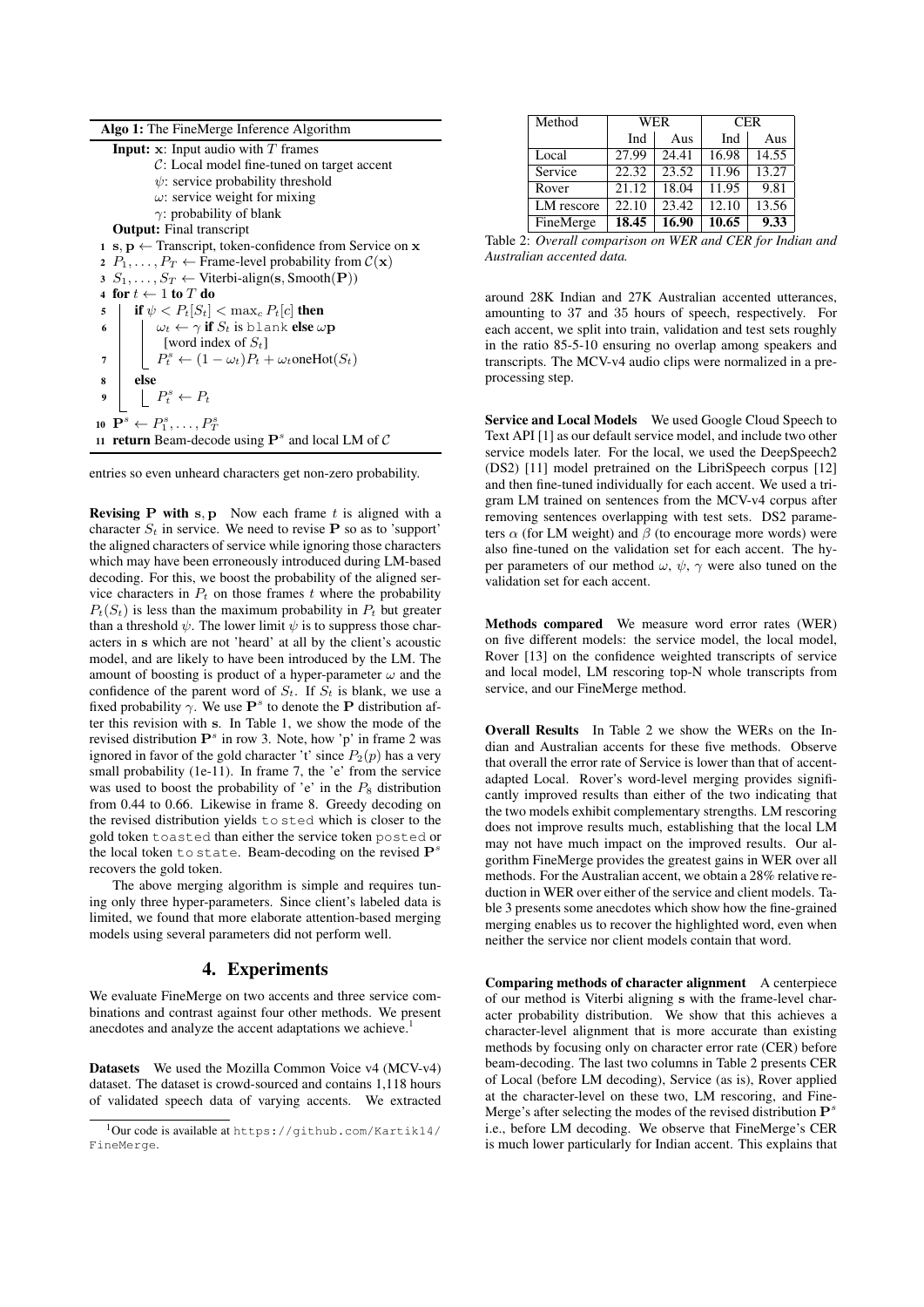| <b>Algo 1:</b> The FineMerge Inference Algorithm                                                       |
|--------------------------------------------------------------------------------------------------------|
| <b>Input:</b> $x$ : Input audio with $T$ frames                                                        |
| $C:$ Local model fine-tuned on target accent                                                           |
| $\psi$ : service probability threshold                                                                 |
| $\omega$ : service weight for mixing                                                                   |
| $\gamma$ : probability of blank                                                                        |
| <b>Output:</b> Final transcript                                                                        |
| $\mathbf{a} \cdot \mathbf{s}$ , $\mathbf{p} \leftarrow$ Transcript, token-confidence from Service on x |
| 2 $P_1, \ldots, P_T \leftarrow$ Frame-level probability from $\mathcal{C}(\mathbf{x})$                 |
| 3 $S_1, \ldots, S_T \leftarrow$ Viterbi-align(s, Smooth(P))                                            |
| 4 for $t \leftarrow 1$ to $T$ do                                                                       |
| if $\psi < P_t[S_t] < \max_c P_t[c]$ then<br>5                                                         |
| $\omega_t \leftarrow \gamma$ if $S_t$ is blank else $\omega \mathbf{p}$<br>6                           |
| [word index of $S_t$ ]                                                                                 |
| $P_t^s \leftarrow (1 - \omega_t)P_t + \omega_t$ oneHot $(S_t)$<br>7                                    |
| else<br>8                                                                                              |
| $\mid P_t^s \leftarrow P_t$<br>$\boldsymbol{Q}$                                                        |
| 10 $\mathbf{P}^s \leftarrow P_1^s, \ldots, P_T^s$                                                      |
| 11 <b>return</b> Beam-decode using $\mathbf{P}^s$ and local LM of C                                    |

entries so even unheard characters get non-zero probability.

**Revising P with s, p** Now each frame  $t$  is aligned with a character  $S_t$  in service. We need to revise **P** so as to 'support' the aligned characters of service while ignoring those characters which may have been erroneously introduced during LM-based decoding. For this, we boost the probability of the aligned service characters in  $P_t$  on those frames t where the probability  $P_t(S_t)$  is less than the maximum probability in  $P_t$  but greater than a threshold  $\psi$ . The lower limit  $\psi$  is to suppress those characters in s which are not 'heard' at all by the client's acoustic model, and are likely to have been introduced by the LM. The amount of boosting is product of a hyper-parameter  $\omega$  and the confidence of the parent word of  $S_t$ . If  $S_t$  is blank, we use a fixed probability  $\gamma$ . We use  $\mathbf{P}^{s}$  to denote the **P** distribution after this revision with s. In Table 1, we show the mode of the revised distribution  $\mathbf{P}^s$  in row 3. Note, how 'p' in frame 2 was ignored in favor of the gold character 't' since  $P_2(p)$  has a very small probability (1e-11). In frame 7, the 'e' from the service was used to boost the probability of 'e' in the  $P_8$  distribution from 0.44 to 0.66. Likewise in frame 8. Greedy decoding on the revised distribution yields to sted which is closer to the gold token toasted than either the service token posted or the local token to state. Beam-decoding on the revised  $\mathbf{P}^s$ recovers the gold token.

The above merging algorithm is simple and requires tuning only three hyper-parameters. Since client's labeled data is limited, we found that more elaborate attention-based merging models using several parameters did not perform well.

#### 4. Experiments

We evaluate FineMerge on two accents and three service combinations and contrast against four other methods. We present anecdotes and analyze the accent adaptations we achieve.<sup>1</sup>

Datasets We used the Mozilla Common Voice v4 (MCV-v4) dataset. The dataset is crowd-sourced and contains 1,118 hours of validated speech data of varying accents. We extracted

| Method     | <b>WER</b> |       | <b>CER</b> |       |  |
|------------|------------|-------|------------|-------|--|
|            | Ind        | Aus   | Ind        | Aus   |  |
| Local      | 27.99      | 24.41 | 16.98      | 14.55 |  |
| Service    | 22.32      | 23.52 | 11.96      | 13.27 |  |
| Rover      | 21.12      | 18.04 | 11.95      | 9.81  |  |
| LM rescore | 22.10      | 23.42 | 12.10      | 13.56 |  |
| FineMerge  | 18.45      | 16.90 | 10.65      | 9.33  |  |

Table 2: *Overall comparison on WER and CER for Indian and Australian accented data.*

around 28K Indian and 27K Australian accented utterances, amounting to 37 and 35 hours of speech, respectively. For each accent, we split into train, validation and test sets roughly in the ratio 85-5-10 ensuring no overlap among speakers and transcripts. The MCV-v4 audio clips were normalized in a preprocessing step.

Service and Local Models We used Google Cloud Speech to Text API [1] as our default service model, and include two other service models later. For the local, we used the DeepSpeech2 (DS2) [11] model pretrained on the LibriSpeech corpus [12] and then fine-tuned individually for each accent. We used a trigram LM trained on sentences from the MCV-v4 corpus after removing sentences overlapping with test sets. DS2 parameters  $\alpha$  (for LM weight) and  $\beta$  (to encourage more words) were also fine-tuned on the validation set for each accent. The hyper parameters of our method  $\omega$ ,  $\psi$ ,  $\gamma$  were also tuned on the validation set for each accent.

Methods compared We measure word error rates (WER) on five different models: the service model, the local model, Rover [13] on the confidence weighted transcripts of service and local model, LM rescoring top-N whole transcripts from service, and our FineMerge method.

Overall Results In Table 2 we show the WERs on the Indian and Australian accents for these five methods. Observe that overall the error rate of Service is lower than that of accentadapted Local. Rover's word-level merging provides significantly improved results than either of the two indicating that the two models exhibit complementary strengths. LM rescoring does not improve results much, establishing that the local LM may not have much impact on the improved results. Our algorithm FineMerge provides the greatest gains in WER over all methods. For the Australian accent, we obtain a 28% relative reduction in WER over either of the service and client models. Table 3 presents some anecdotes which show how the fine-grained merging enables us to recover the highlighted word, even when neither the service nor client models contain that word.

Comparing methods of character alignment A centerpiece of our method is Viterbi aligning s with the frame-level character probability distribution. We show that this achieves a character-level alignment that is more accurate than existing methods by focusing only on character error rate (CER) before beam-decoding. The last two columns in Table 2 presents CER of Local (before LM decoding), Service (as is), Rover applied at the character-level on these two, LM rescoring, and Fine-Merge's after selecting the modes of the revised distribution  $\mathbf{P}^s$ i.e., before LM decoding. We observe that FineMerge's CER is much lower particularly for Indian accent. This explains that

<sup>1</sup>Our code is available at https://github.com/Kartik14/ FineMerge.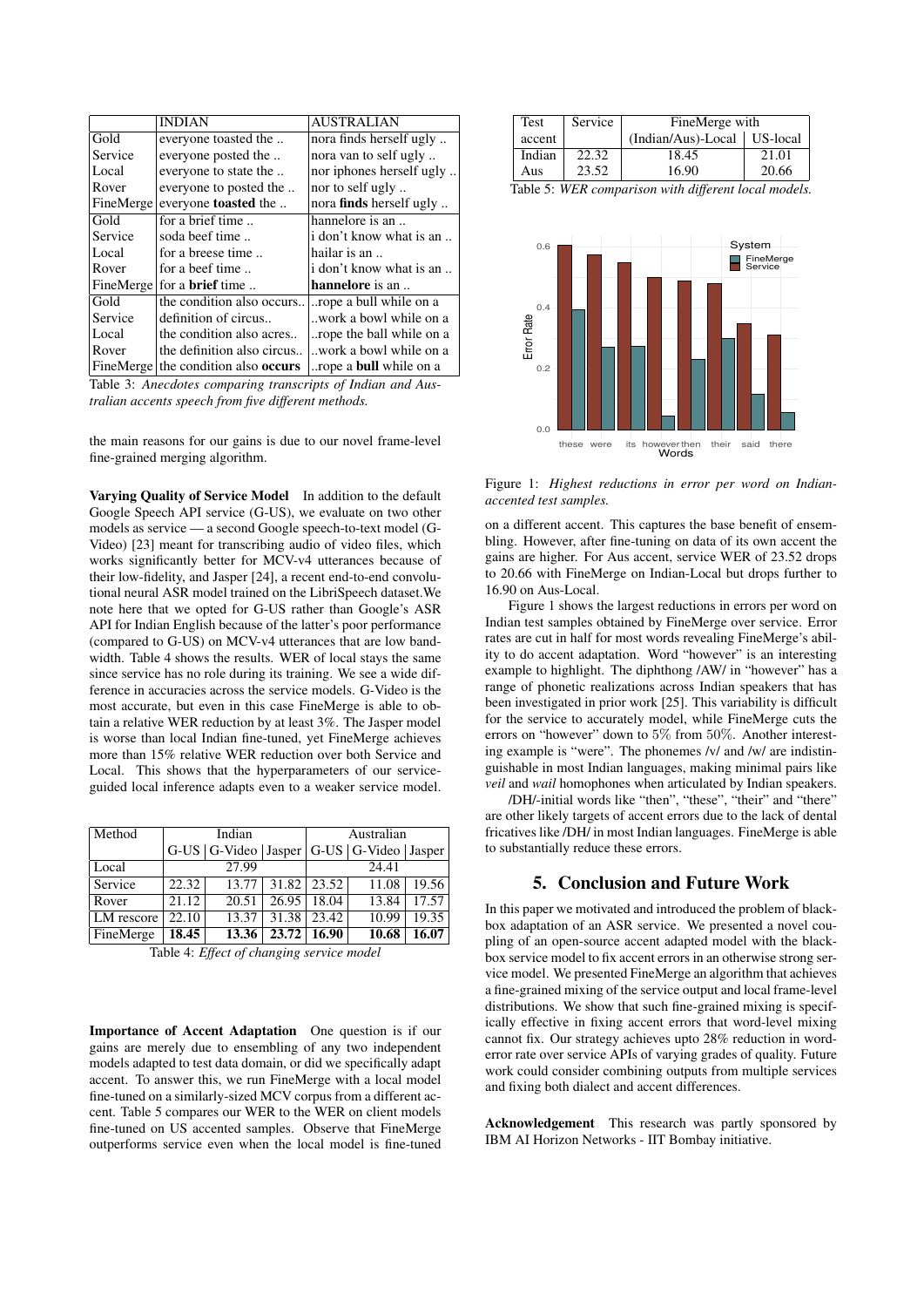|           | <b>INDIAN</b>                       | <b>AUSTRALIAN</b>              |
|-----------|-------------------------------------|--------------------------------|
| Gold      | everyone toasted the                | nora finds herself ugly        |
| Service   | everyone posted the                 | nora van to self ugly          |
| Local     | everyone to state the               | nor iphones herself ugly       |
| Rover     | everyone to posted the              | nor to self ugly               |
| FineMerge | everyone <b>toasted</b> the         | nora <b>finds</b> herself ugly |
| Gold      | for a brief time                    | hannelore is an                |
| Service   | soda beef time                      | i don't know what is an        |
| Local     | for a breese time                   | hailar is an                   |
| Rover     | for a beef time                     | i don't know what is an        |
|           | FineMerge for a <b>brief</b> time   | hannelore is an                |
| Gold      | the condition also occurs           | rope a bull while on a         |
| Service   | definition of circus                | work a bowl while on a         |
| Local     | the condition also acres            | rope the ball while on a       |
| Rover     | the definition also circus          | work a bowl while on a         |
|           | FineMerge the condition also occurs | rope a <b>bull</b> while on a  |

Table 3: *Anecdotes comparing transcripts of Indian and Australian accents speech from five different methods.*

the main reasons for our gains is due to our novel frame-level fine-grained merging algorithm.

Varying Quality of Service Model In addition to the default Google Speech API service (G-US), we evaluate on two other models as service — a second Google speech-to-text model (G-Video) [23] meant for transcribing audio of video files, which works significantly better for MCV-v4 utterances because of their low-fidelity, and Jasper [24], a recent end-to-end convolutional neural ASR model trained on the LibriSpeech dataset.We note here that we opted for G-US rather than Google's ASR API for Indian English because of the latter's poor performance (compared to G-US) on MCV-v4 utterances that are low bandwidth. Table 4 shows the results. WER of local stays the same since service has no role during its training. We see a wide difference in accuracies across the service models. G-Video is the most accurate, but even in this case FineMerge is able to obtain a relative WER reduction by at least 3%. The Jasper model is worse than local Indian fine-tuned, yet FineMerge achieves more than 15% relative WER reduction over both Service and Local. This shows that the hyperparameters of our serviceguided local inference adapts even to a weaker service model.

| Method     | Indian |                                                 |       | Australian      |       |       |
|------------|--------|-------------------------------------------------|-------|-----------------|-------|-------|
|            |        | G-US $ G-Video $ Jasper $ G-US $ G-Video Jasper |       |                 |       |       |
| Local      |        | 27.99                                           |       |                 | 24.41 |       |
| Service    | 22.32  | 13.77                                           |       | $31.82$   23.52 | 11.08 | 19.56 |
| Rover      | 21.12  | 20.51                                           | 26.95 | 18.04           | 13.84 | 17.57 |
| LM rescore | 22.10  | 13.37                                           | 31.38 | 23.42           | 10.99 | 19.35 |
| FineMerge  | 18.45  | 13.36                                           | 23.72 | 16.90           | 10.68 | 16.07 |

Table 4: *Effect of changing service model*

Importance of Accent Adaptation One question is if our gains are merely due to ensembling of any two independent models adapted to test data domain, or did we specifically adapt accent. To answer this, we run FineMerge with a local model fine-tuned on a similarly-sized MCV corpus from a different accent. Table 5 compares our WER to the WER on client models fine-tuned on US accented samples. Observe that FineMerge outperforms service even when the local model is fine-tuned

| <b>Test</b> | Service | FineMerge with                |       |  |  |
|-------------|---------|-------------------------------|-------|--|--|
| accent      |         | (Indian/Aus)-Local   US-local |       |  |  |
| Indian      | 22.32   | 18.45                         | 21.01 |  |  |
| Aus         | 23.52   | 16.90                         | 20.66 |  |  |

Table 5: *WER comparison with different local models.*



Figure 1: *Highest reductions in error per word on Indianaccented test samples.*

on a different accent. This captures the base benefit of ensembling. However, after fine-tuning on data of its own accent the gains are higher. For Aus accent, service WER of 23.52 drops to 20.66 with FineMerge on Indian-Local but drops further to 16.90 on Aus-Local.

Figure 1 shows the largest reductions in errors per word on Indian test samples obtained by FineMerge over service. Error rates are cut in half for most words revealing FineMerge's ability to do accent adaptation. Word "however" is an interesting example to highlight. The diphthong /AW/ in "however" has a range of phonetic realizations across Indian speakers that has been investigated in prior work [25]. This variability is difficult for the service to accurately model, while FineMerge cuts the errors on "however" down to 5% from 50%. Another interesting example is "were". The phonemes /v/ and /w/ are indistinguishable in most Indian languages, making minimal pairs like *veil* and *wail* homophones when articulated by Indian speakers.

/DH/-initial words like "then", "these", "their" and "there" are other likely targets of accent errors due to the lack of dental fricatives like /DH/ in most Indian languages. FineMerge is able to substantially reduce these errors.

## 5. Conclusion and Future Work

In this paper we motivated and introduced the problem of blackbox adaptation of an ASR service. We presented a novel coupling of an open-source accent adapted model with the blackbox service model to fix accent errors in an otherwise strong service model. We presented FineMerge an algorithm that achieves a fine-grained mixing of the service output and local frame-level distributions. We show that such fine-grained mixing is specifically effective in fixing accent errors that word-level mixing cannot fix. Our strategy achieves upto 28% reduction in worderror rate over service APIs of varying grades of quality. Future work could consider combining outputs from multiple services and fixing both dialect and accent differences.

Acknowledgement This research was partly sponsored by IBM AI Horizon Networks - IIT Bombay initiative.